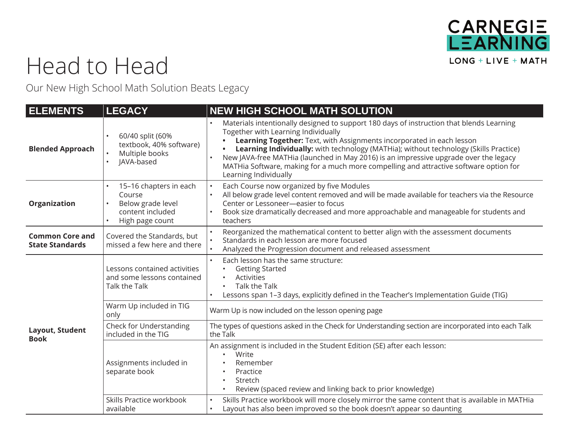

## Head to Head

Our New High School Math Solution Beats Legacy

| <b>ELEMENTS</b>                                  | <b>LEGACY</b>                                                                                | <b>NEW HIGH SCHOOL MATH SOLUTION</b>                                                                                                                                                                                                                                                                                                                                                                                                                                                                        |
|--------------------------------------------------|----------------------------------------------------------------------------------------------|-------------------------------------------------------------------------------------------------------------------------------------------------------------------------------------------------------------------------------------------------------------------------------------------------------------------------------------------------------------------------------------------------------------------------------------------------------------------------------------------------------------|
| <b>Blended Approach</b>                          | 60/40 split (60%<br>textbook, 40% software)<br>Multiple books<br>JAVA-based                  | Materials intentionally designed to support 180 days of instruction that blends Learning<br>Together with Learning Individually<br>Learning Together: Text, with Assignments incorporated in each lesson<br>Learning Individually: with technology (MATHia); without technology (Skills Practice)<br>New JAVA-free MATHia (launched in May 2016) is an impressive upgrade over the legacy<br>MATHia Software, making for a much more compelling and attractive software option for<br>Learning Individually |
| Organization                                     | 15-16 chapters in each<br>Course<br>Below grade level<br>content included<br>High page count | Each Course now organized by five Modules<br>All below grade level content removed and will be made available for teachers via the Resource<br>Center or Lessoneer-easier to focus<br>Book size dramatically decreased and more approachable and manageable for students and<br>teachers                                                                                                                                                                                                                    |
| <b>Common Core and</b><br><b>State Standards</b> | Covered the Standards, but<br>missed a few here and there                                    | Reorganized the mathematical content to better align with the assessment documents<br>Standards in each lesson are more focused<br>Analyzed the Progression document and released assessment                                                                                                                                                                                                                                                                                                                |
| Layout, Student<br><b>Book</b>                   | Lessons contained activities<br>and some lessons contained<br><b>Talk the Talk</b>           | Each lesson has the same structure:<br><b>Getting Started</b><br><b>Activities</b><br><b>Talk the Talk</b><br>Lessons span 1-3 days, explicitly defined in the Teacher's Implementation Guide (TIG)                                                                                                                                                                                                                                                                                                         |
|                                                  | Warm Up included in TIG<br>only                                                              | Warm Up is now included on the lesson opening page                                                                                                                                                                                                                                                                                                                                                                                                                                                          |
|                                                  | Check for Understanding<br>included in the TIG                                               | The types of questions asked in the Check for Understanding section are incorporated into each Talk<br>the Talk                                                                                                                                                                                                                                                                                                                                                                                             |
|                                                  | Assignments included in<br>separate book                                                     | An assignment is included in the Student Edition (SE) after each lesson:<br>Write<br>Remember<br>Practice<br>Stretch<br>Review (spaced review and linking back to prior knowledge)                                                                                                                                                                                                                                                                                                                          |
|                                                  | Skills Practice workbook<br>available                                                        | Skills Practice workbook will more closely mirror the same content that is available in MATHia<br>Layout has also been improved so the book doesn't appear so daunting                                                                                                                                                                                                                                                                                                                                      |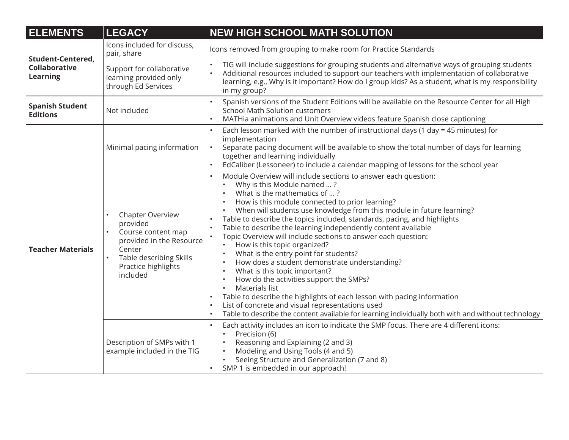| <b>ELEMENTS</b>                                              | <b>LEGACY</b>                                                                                                                                          | <b>NEW HIGH SCHOOL MATH SOLUTION</b>                                                                                                                                                                                                                                                                                                                                                                                                                                                                                                                                                                                                                                                                                                                                                                                                                                                                                                                                                                               |
|--------------------------------------------------------------|--------------------------------------------------------------------------------------------------------------------------------------------------------|--------------------------------------------------------------------------------------------------------------------------------------------------------------------------------------------------------------------------------------------------------------------------------------------------------------------------------------------------------------------------------------------------------------------------------------------------------------------------------------------------------------------------------------------------------------------------------------------------------------------------------------------------------------------------------------------------------------------------------------------------------------------------------------------------------------------------------------------------------------------------------------------------------------------------------------------------------------------------------------------------------------------|
| <b>Student-Centered,</b><br>Collaborative<br><b>Learning</b> | Icons included for discuss,<br>pair, share                                                                                                             | Icons removed from grouping to make room for Practice Standards                                                                                                                                                                                                                                                                                                                                                                                                                                                                                                                                                                                                                                                                                                                                                                                                                                                                                                                                                    |
|                                                              | Support for collaborative<br>learning provided only<br>through Ed Services                                                                             | TIG will include suggestions for grouping students and alternative ways of grouping students<br>Additional resources included to support our teachers with implementation of collaborative<br>learning, e.g., Why is it important? How do I group kids? As a student, what is my responsibility<br>in my group?                                                                                                                                                                                                                                                                                                                                                                                                                                                                                                                                                                                                                                                                                                    |
| <b>Spanish Student</b><br><b>Editions</b>                    | Not included                                                                                                                                           | Spanish versions of the Student Editions will be available on the Resource Center for all High<br><b>School Math Solution customers</b><br>MATHia animations and Unit Overview videos feature Spanish close captioning                                                                                                                                                                                                                                                                                                                                                                                                                                                                                                                                                                                                                                                                                                                                                                                             |
| <b>Teacher Materials</b>                                     | Minimal pacing information                                                                                                                             | Each lesson marked with the number of instructional days (1 day = 45 minutes) for<br>implementation<br>Separate pacing document will be available to show the total number of days for learning<br>together and learning individually<br>EdCaliber (Lessoneer) to include a calendar mapping of lessons for the school year                                                                                                                                                                                                                                                                                                                                                                                                                                                                                                                                                                                                                                                                                        |
|                                                              | Chapter Overview<br>provided<br>Course content map<br>provided in the Resource<br>Center<br>Table describing Skills<br>Practice highlights<br>included | Module Overview will include sections to answer each question:<br>Why is this Module named ?<br>What is the mathematics of ?<br>How is this module connected to prior learning?<br>When will students use knowledge from this module in future learning?<br>Table to describe the topics included, standards, pacing, and highlights<br>Table to describe the learning independently content available<br>Topic Overview will include sections to answer each question:<br>$\bullet$<br>How is this topic organized?<br>What is the entry point for students?<br>$\bullet$<br>How does a student demonstrate understanding?<br>$\bullet$<br>What is this topic important?<br>$\bullet$<br>How do the activities support the SMPs?<br>$\bullet$<br>Materials list<br>$\bullet$<br>Table to describe the highlights of each lesson with pacing information<br>List of concrete and visual representations used<br>Table to describe the content available for learning individually both with and without technology |
|                                                              | Description of SMPs with 1<br>example included in the TIG                                                                                              | Each activity includes an icon to indicate the SMP focus. There are 4 different icons:<br>Precision (6)<br>$\bullet$<br>Reasoning and Explaining (2 and 3)<br>Modeling and Using Tools (4 and 5)<br>$\bullet$<br>Seeing Structure and Generalization (7 and 8)<br>SMP 1 is embedded in our approach!                                                                                                                                                                                                                                                                                                                                                                                                                                                                                                                                                                                                                                                                                                               |